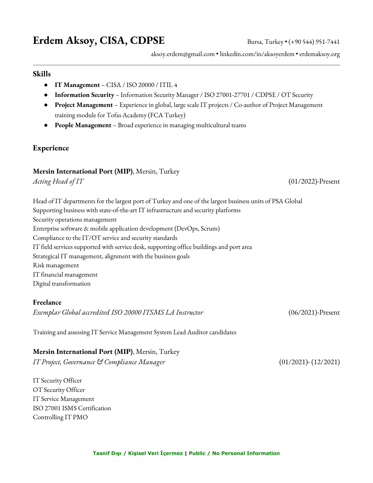# **Erdem Aksoy, CISA, CDPSE** Bursa, Turkey • (+90 544) 951-7441

aksoy.erdem@gmail.com • linkedin.com/in/aksoyerdem • erdemaksoy.org

#### **Skills**

- **IT Management** CISA / ISO 20000 / ITIL 4
- **Information Security** Information Security Manager / ISO 27001-27701 / CDPSE / OT Security
- **Project Management** Experience in global, large scale IT projects / Co-author of Project Management training module for Tofas Academy (FCA Turkey)
- **People Management** Broad experience in managing multicultural teams

#### **Experience**

#### **Mersin International Port (MIP)**, Mersin, Turkey

*Acting Head of IT* (01/2022)-Present

Head of IT departments for the largest port of Turkey and one of the largest business units of PSA Global Supporting business with state-of-the-art IT infrastructure and security platforms Security operations management Enterprise software & mobile application development (DevOps, Scrum) Compliance to the IT/OT service and security standards IT field services supported with service desk, supporting office buildings and port area Strategical IT management, alignment with the business goals Risk management IT financial management Digital transformation

#### **Freelance**

*Exemplar Global accredited ISO 20000 ITSMS LA Instructor* (06/2021)-Present

Training and assessing IT Service Management System Lead Auditor candidates

## **Mersin International Port (MIP)**, Mersin, Turkey

*IT Project, Governance & Compliance Manager* (01/2021)- (12/2021)

IT Security Officer OT Security Officer IT Service Management ISO 27001 ISMS Certification Controlling IT PMO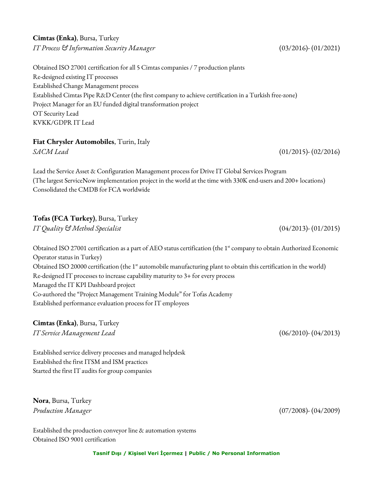# **Cimtas (Enka)**, Bursa, Turkey *IT Process & Information Security Manager* (03/2016)- (01/2021)

Obtained ISO 27001 certification for all 5 Cimtas companies / 7 production plants Re-designed existing IT processes Established Change Management process Established Cimtas Pipe R&D Center (the first company to achieve certification in a Turkish free-zone) Project Manager for an EU funded digital transformation project OT Security Lead KVKK/GDPR IT Lead

## **Fiat Chrysler Automobiles**, Turin, Italy

*SACM Lead* (01/2015)- (02/2016)

Lead the Service Asset & Configuration Management process for Drive IT Global Services Program (The largest ServiceNow implementation project in the world at the time with 330K end-users and 200+ locations) Consolidated the CMDB for FCA worldwide

# **Tofas (FCA Turkey)**, Bursa, Turkey

*IT Quality & Method Specialist* (04/2013)- (01/2015)

Obtained ISO 27001 certification as a part of AEO status certification (the 1<sup>st</sup> company to obtain Authorized Economic Operator status in Turkey) Obtained ISO 20000 certification (the 1<sup>st</sup> automobile manufacturing plant to obtain this certification in the world) Re-designed IT processes to increase capability maturity to 3+ for every process Managed the IT KPI Dashboard project Co-authored the "Project Management Training Module" for Tofas Academy Established performance evaluation process for IT employees

# **Cimtas (Enka)**, Bursa, Turkey

*IT Service Management Lead* (06/2010)- (04/2013)

Established service delivery processes and managed helpdesk Established the first ITSM and ISM practices Started the first IT audits for group companies

**Nora**, Bursa, Turkey *Production Manager* (07/2008)- (04/2009)

Established the production conveyor line & automation systems Obtained ISO 9001 certification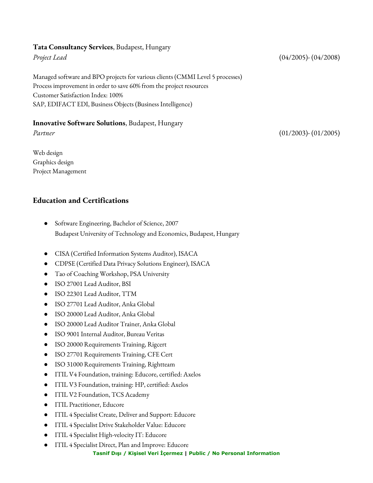#### **Tata Consultancy Services**, Budapest, Hungary

Managed software and BPO projects for various clients (CMMI Level 5 processes) Process improvement in order to save 60% from the project resources Customer Satisfaction Index: 100% SAP, EDIFACT EDI, Business Objects (Business Intelligence)

## **Innovative Software Solutions**, Budapest, Hungary

Web design Graphics design Project Management

# **Education and Certifications**

- Software Engineering, Bachelor of Science, 2007 Budapest University of Technology and Economics, Budapest, Hungary
- CISA (Certified Information Systems Auditor), ISACA
- CDPSE (Certified Data Privacy Solutions Engineer), ISACA
- Tao of Coaching Workshop, PSA University
- ISO 27001 Lead Auditor, BSI
- ISO 22301 Lead Auditor, TTM
- ISO 27701 Lead Auditor, Anka Global
- ISO 20000 Lead Auditor, Anka Global
- ISO 20000 Lead Auditor Trainer, Anka Global
- ISO 9001 Internal Auditor, Bureau Veritas
- ISO 20000 Requirements Training, Rigcert
- ISO 27701 Requirements Training, CFE Cert
- ISO 31000 Requirements Training, Rightteam
- ITIL V4 Foundation, training: Educore, certified: Axelos
- ITIL V3 Foundation, training: HP, certified: Axelos
- ITIL V2 Foundation, TCS Academy
- ITIL Practitioner, Educore
- ITIL 4 Specialist Create, Deliver and Support: Educore
- ITIL 4 Specialist Drive Stakeholder Value: Educore
- ITIL 4 Specialist High-velocity IT: Educore
- ITIL 4 Specialist Direct, Plan and Improve: Educore

**Tasnif Dışı / Kişisel Veri İçermez | Public / No Personal Information**

## *Project Lead* (04/2005)- (04/2008)

*Partner* (01/2003)- (01/2005)